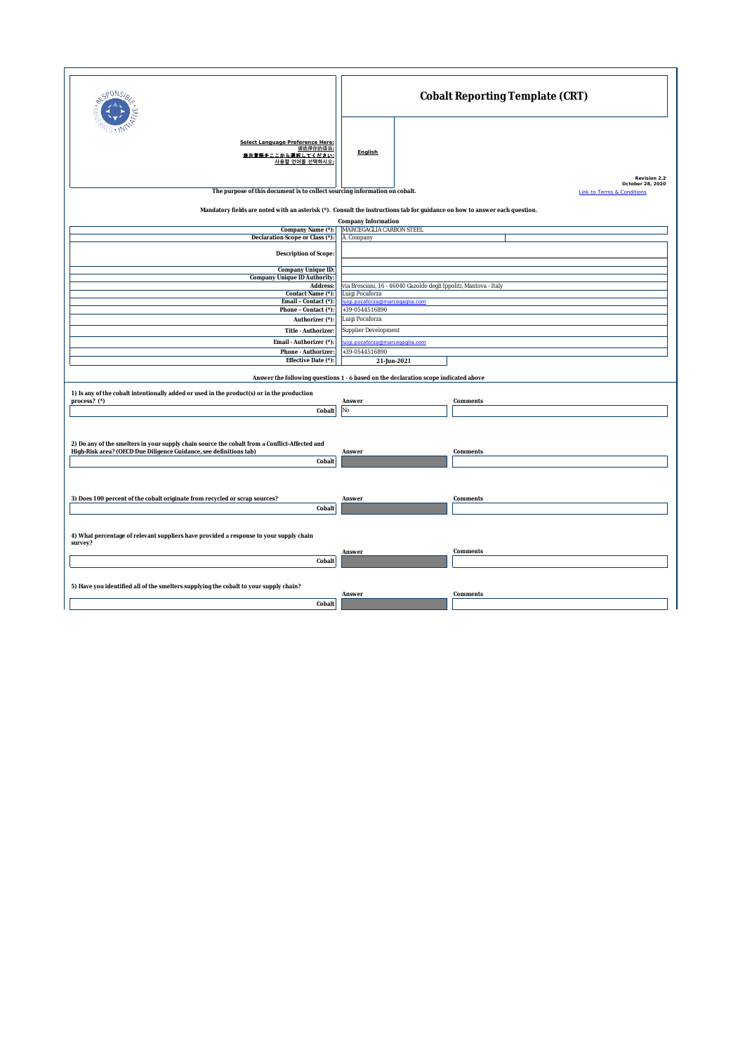| cP0NS                                                                                                                                                                             | Cobalt Reporting Template (CRT)                                   |                                                                           |  |  |
|-----------------------------------------------------------------------------------------------------------------------------------------------------------------------------------|-------------------------------------------------------------------|---------------------------------------------------------------------------|--|--|
| Select Language Preference Here:<br>请选择你的语言:<br>豊示言語をここから選択してください:<br>사용할 언어를 선택하시오                                                                                               | English                                                           |                                                                           |  |  |
| The purpose of this document is to collect sourcing information on cobalt.                                                                                                        |                                                                   | Revision 2.2<br>October 28, 2020<br><b>Link to Terms &amp; Conditions</b> |  |  |
| Mandatory fields are noted with an asterisk (*). Consult the instructions tab for guidance on how to answer each question.                                                        |                                                                   |                                                                           |  |  |
|                                                                                                                                                                                   | Company Information                                               |                                                                           |  |  |
| Company Name (*):                                                                                                                                                                 | MARCEGAGLIA CARBON STEEL                                          |                                                                           |  |  |
| Declaration Scope or Class (*):                                                                                                                                                   | A. Company                                                        |                                                                           |  |  |
|                                                                                                                                                                                   |                                                                   |                                                                           |  |  |
| Description of Scope:                                                                                                                                                             |                                                                   |                                                                           |  |  |
| Company Unique ID:                                                                                                                                                                |                                                                   |                                                                           |  |  |
| Company Unique ID Authority:                                                                                                                                                      |                                                                   |                                                                           |  |  |
| Address:                                                                                                                                                                          | via Bresciani, 16 - 46040 Gazoldo degli Ippoliti, Mantova - Italy |                                                                           |  |  |
| Contact Name (*):                                                                                                                                                                 | Luigi Pocaforza                                                   |                                                                           |  |  |
| Email - Contact (*):                                                                                                                                                              | luigi.pocaforza@marcegaglia.com                                   |                                                                           |  |  |
| Phone - Contact (*):                                                                                                                                                              | +39-0544516890                                                    |                                                                           |  |  |
| Authorizer (*)                                                                                                                                                                    | Luigi Pocaforza                                                   |                                                                           |  |  |
|                                                                                                                                                                                   |                                                                   |                                                                           |  |  |
| Title - Authorizer                                                                                                                                                                | Supplier Development                                              |                                                                           |  |  |
| Email - Authorizer (*):                                                                                                                                                           | uigi.pocaforza@marcegaglia.com                                    |                                                                           |  |  |
| Phone - Authorizer                                                                                                                                                                | +39-0544516890                                                    |                                                                           |  |  |
| Effective Date (*):                                                                                                                                                               | 21-Jun-2021                                                       |                                                                           |  |  |
|                                                                                                                                                                                   |                                                                   |                                                                           |  |  |
| Answer the following questions 1 - 6 based on the declaration scope indicated above<br>1) Is any of the cobalt intentionally added or used in the product(s) or in the production |                                                                   |                                                                           |  |  |
| process? (*)                                                                                                                                                                      | Answer                                                            | Comments                                                                  |  |  |
| Cobalt                                                                                                                                                                            | No                                                                |                                                                           |  |  |
|                                                                                                                                                                                   |                                                                   |                                                                           |  |  |
| 2) Do any of the smelters in your supply chain source the cobalt from a Conflict-Affected and<br>High-Risk area? (OECD Due Diligence Guidance, see definitions tab)               | Answer                                                            | Comments                                                                  |  |  |
|                                                                                                                                                                                   |                                                                   |                                                                           |  |  |
| Cobalt                                                                                                                                                                            |                                                                   |                                                                           |  |  |
|                                                                                                                                                                                   |                                                                   |                                                                           |  |  |
| 3) Does 100 percent of the cobalt originate from recycled or scrap sources?                                                                                                       | Answer                                                            | Comments                                                                  |  |  |
| Cobalt                                                                                                                                                                            |                                                                   |                                                                           |  |  |
| 4) What percentage of relevant suppliers have provided a response to your supply chain<br>survey?                                                                                 |                                                                   |                                                                           |  |  |
|                                                                                                                                                                                   | Answer                                                            | Comments                                                                  |  |  |
| Cobalt                                                                                                                                                                            |                                                                   |                                                                           |  |  |
|                                                                                                                                                                                   |                                                                   |                                                                           |  |  |
| 5) Have you identified all of the smelters supplying the cobalt to your supply chain?                                                                                             |                                                                   |                                                                           |  |  |
|                                                                                                                                                                                   | Answer                                                            | Comments                                                                  |  |  |
| Cobalt                                                                                                                                                                            |                                                                   |                                                                           |  |  |